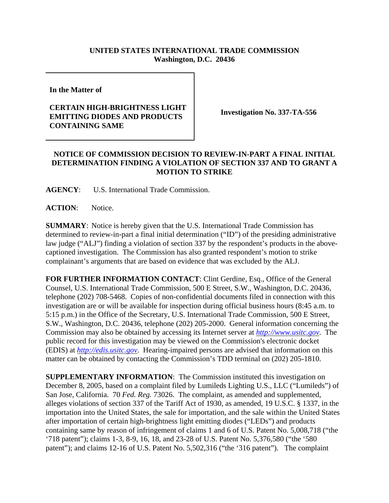## **UNITED STATES INTERNATIONAL TRADE COMMISSION Washington, D.C. 20436**

**In the Matter of** 

## **CERTAIN HIGH-BRIGHTNESS LIGHT EMITTING DIODES AND PRODUCTS CONTAINING SAME**

**Investigation No. 337-TA-556**

## **NOTICE OF COMMISSION DECISION TO REVIEW-IN-PART A FINAL INITIAL DETERMINATION FINDING A VIOLATION OF SECTION 337 AND TO GRANT A MOTION TO STRIKE**

**AGENCY**: U.S. International Trade Commission.

**ACTION**: Notice.

**SUMMARY**: Notice is hereby given that the U.S. International Trade Commission has determined to review-in-part a final initial determination ("ID") of the presiding administrative law judge ("ALJ") finding a violation of section 337 by the respondent's products in the abovecaptioned investigation. The Commission has also granted respondent's motion to strike complainant's arguments that are based on evidence that was excluded by the ALJ.

**FOR FURTHER INFORMATION CONTACT**: Clint Gerdine, Esq., Office of the General Counsel, U.S. International Trade Commission, 500 E Street, S.W., Washington, D.C. 20436, telephone (202) 708-5468. Copies of non-confidential documents filed in connection with this investigation are or will be available for inspection during official business hours (8:45 a.m. to 5:15 p.m.) in the Office of the Secretary, U.S. International Trade Commission, 500 E Street, S.W., Washington, D.C. 20436, telephone (202) 205-2000. General information concerning the Commission may also be obtained by accessing its Internet server at *http://www.usitc.gov*. The public record for this investigation may be viewed on the Commission's electronic docket (EDIS) at *http://edis.usitc.gov*. Hearing-impaired persons are advised that information on this matter can be obtained by contacting the Commission's TDD terminal on (202) 205-1810.

**SUPPLEMENTARY INFORMATION:** The Commission instituted this investigation on December 8, 2005, based on a complaint filed by Lumileds Lighting U.S., LLC ("Lumileds") of San Jose, California. 70 *Fed. Reg.* 73026. The complaint, as amended and supplemented, alleges violations of section 337 of the Tariff Act of 1930, as amended, 19 U.S.C. § 1337, in the importation into the United States, the sale for importation, and the sale within the United States after importation of certain high-brightness light emitting diodes ("LEDs") and products containing same by reason of infringement of claims 1 and 6 of U.S. Patent No. 5,008,718 ("the '718 patent"); claims 1-3, 8-9, 16, 18, and 23-28 of U.S. Patent No. 5,376,580 ("the '580 patent"); and claims 12-16 of U.S. Patent No. 5,502,316 ("the '316 patent"). The complaint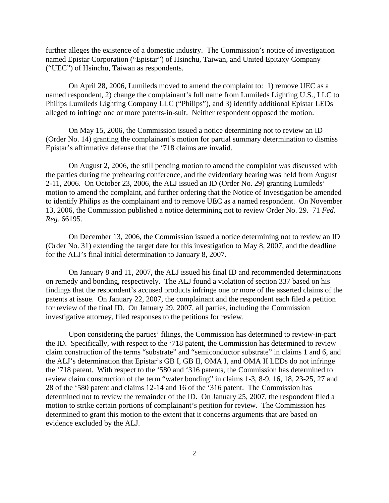further alleges the existence of a domestic industry. The Commission's notice of investigation named Epistar Corporation ("Epistar") of Hsinchu, Taiwan, and United Epitaxy Company ("UEC") of Hsinchu, Taiwan as respondents.

On April 28, 2006, Lumileds moved to amend the complaint to: 1) remove UEC as a named respondent, 2) change the complainant's full name from Lumileds Lighting U.S., LLC to Philips Lumileds Lighting Company LLC ("Philips"), and 3) identify additional Epistar LEDs alleged to infringe one or more patents-in-suit. Neither respondent opposed the motion.

On May 15, 2006, the Commission issued a notice determining not to review an ID (Order No. 14) granting the complainant's motion for partial summary determination to dismiss Epistar's affirmative defense that the '718 claims are invalid.

On August 2, 2006, the still pending motion to amend the complaint was discussed with the parties during the prehearing conference, and the evidentiary hearing was held from August 2-11, 2006. On October 23, 2006, the ALJ issued an ID (Order No. 29) granting Lumileds' motion to amend the complaint, and further ordering that the Notice of Investigation be amended to identify Philips as the complainant and to remove UEC as a named respondent. On November 13, 2006, the Commission published a notice determining not to review Order No. 29. 71 *Fed. Reg.* 66195.

On December 13, 2006, the Commission issued a notice determining not to review an ID (Order No. 31) extending the target date for this investigation to May 8, 2007, and the deadline for the ALJ's final initial determination to January 8, 2007.

On January 8 and 11, 2007, the ALJ issued his final ID and recommended determinations on remedy and bonding, respectively. The ALJ found a violation of section 337 based on his findings that the respondent's accused products infringe one or more of the asserted claims of the patents at issue. On January 22, 2007, the complainant and the respondent each filed a petition for review of the final ID. On January 29, 2007, all parties, including the Commission investigative attorney, filed responses to the petitions for review.

Upon considering the parties' filings, the Commission has determined to review-in-part the ID. Specifically, with respect to the '718 patent, the Commission has determined to review claim construction of the terms "substrate" and "semiconductor substrate" in claims 1 and 6, and the ALJ's determination that Epistar's GB I, GB II, OMA I, and OMA II LEDs do not infringe the '718 patent. With respect to the '580 and '316 patents, the Commission has determined to review claim construction of the term "wafer bonding" in claims 1-3, 8-9, 16, 18, 23-25, 27 and 28 of the '580 patent and claims 12-14 and 16 of the '316 patent. The Commission has determined not to review the remainder of the ID. On January 25, 2007, the respondent filed a motion to strike certain portions of complainant's petition for review. The Commission has determined to grant this motion to the extent that it concerns arguments that are based on evidence excluded by the ALJ.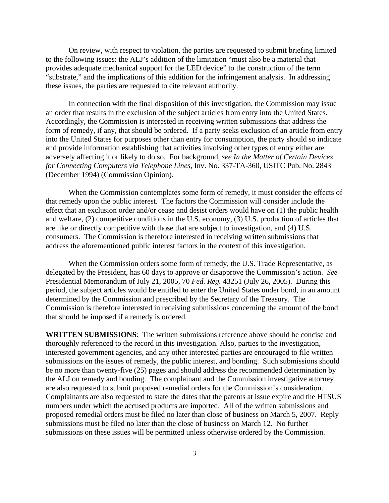On review, with respect to violation, the parties are requested to submit briefing limited to the following issues: the ALJ's addition of the limitation "must also be a material that provides adequate mechanical support for the LED device" to the construction of the term "substrate," and the implications of this addition for the infringement analysis. In addressing these issues, the parties are requested to cite relevant authority.

In connection with the final disposition of this investigation, the Commission may issue an order that results in the exclusion of the subject articles from entry into the United States. Accordingly, the Commission is interested in receiving written submissions that address the form of remedy, if any, that should be ordered. If a party seeks exclusion of an article from entry into the United States for purposes other than entry for consumption, the party should so indicate and provide information establishing that activities involving other types of entry either are adversely affecting it or likely to do so. For background, *see In the Matter of Certain Devices for Connecting Computers via Telephone Lines*, Inv. No. 337-TA-360, USITC Pub. No. 2843 (December 1994) (Commission Opinion).

When the Commission contemplates some form of remedy, it must consider the effects of that remedy upon the public interest. The factors the Commission will consider include the effect that an exclusion order and/or cease and desist orders would have on (1) the public health and welfare, (2) competitive conditions in the U.S. economy, (3) U.S. production of articles that are like or directly competitive with those that are subject to investigation, and (4) U.S. consumers. The Commission is therefore interested in receiving written submissions that address the aforementioned public interest factors in the context of this investigation.

When the Commission orders some form of remedy, the U.S. Trade Representative, as delegated by the President, has 60 days to approve or disapprove the Commission's action. *See* Presidential Memorandum of July 21, 2005, 70 *Fed. Reg.* 43251 (July 26, 2005). During this period, the subject articles would be entitled to enter the United States under bond, in an amount determined by the Commission and prescribed by the Secretary of the Treasury. The Commission is therefore interested in receiving submissions concerning the amount of the bond that should be imposed if a remedy is ordered.

**WRITTEN SUBMISSIONS**:The written submissions reference above should be concise and thoroughly referenced to the record in this investigation. Also, parties to the investigation, interested government agencies, and any other interested parties are encouraged to file written submissions on the issues of remedy, the public interest, and bonding. Such submissions should be no more than twenty-five (25) pages and should address the recommended determination by the ALJ on remedy and bonding. The complainant and the Commission investigative attorney are also requested to submit proposed remedial orders for the Commission's consideration. Complainants are also requested to state the dates that the patents at issue expire and the HTSUS numbers under which the accused products are imported. All of the written submissions and proposed remedial orders must be filed no later than close of business on March 5, 2007. Reply submissions must be filed no later than the close of business on March 12. No further submissions on these issues will be permitted unless otherwise ordered by the Commission.